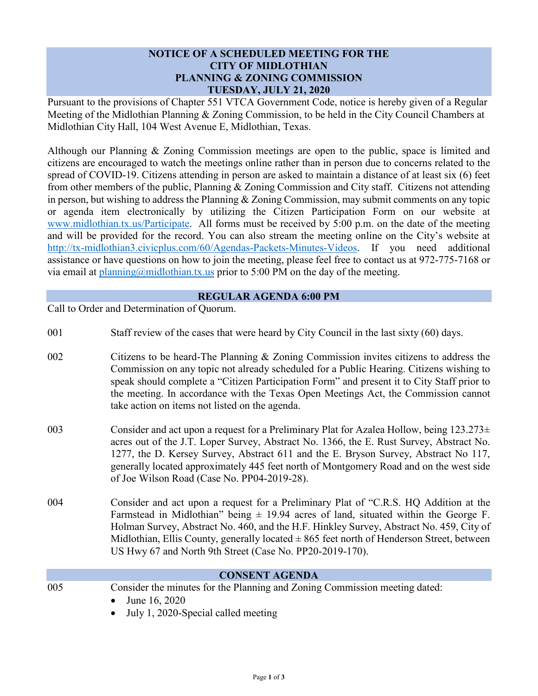## **NOTICE OF A SCHEDULED MEETING FOR THE CITY OF MIDLOTHIAN PLANNING & ZONING COMMISSION TUESDAY, JULY 21, 2020**

Pursuant to the provisions of Chapter 551 VTCA Government Code, notice is hereby given of a Regular Meeting of the Midlothian Planning & Zoning Commission, to be held in the City Council Chambers at Midlothian City Hall, 104 West Avenue E, Midlothian, Texas.

Although our Planning & Zoning Commission meetings are open to the public, space is limited and citizens are encouraged to watch the meetings online rather than in person due to concerns related to the spread of COVID-19. Citizens attending in person are asked to maintain a distance of at least six (6) feet from other members of the public, Planning & Zoning Commission and City staff. Citizens not attending in person, but wishing to address the Planning & Zoning Commission, may submit comments on any topic or agenda item electronically by utilizing the Citizen Participation Form on our website at [www.midlothian.tx.us/Participate.](http://www.midlothian.tx.us/Participate) All forms must be received by 5:00 p.m. on the date of the meeting and will be provided for the record. You can also stream the meeting online on the City's website at [http://tx-midlothian3.civicplus.com/60/Agendas-Packets-Minutes-Videos.](http://tx-midlothian3.civicplus.com/60/Agendas-Packets-Minutes-Videos) If you need additional assistance or have questions on how to join the meeting, please feel free to contact us at 972-775-7168 or via email at [planning@midlothian.tx.us](mailto:planning@midlothian.tx.us) prior to 5:00 PM on the day of the meeting.

## **REGULAR AGENDA 6:00 PM**

Call to Order and Determination of Quorum.

- 001 Staff review of the cases that were heard by City Council in the last sixty (60) days.
- 002 Citizens to be heard-The Planning & Zoning Commission invites citizens to address the Commission on any topic not already scheduled for a Public Hearing. Citizens wishing to speak should complete a "Citizen Participation Form" and present it to City Staff prior to the meeting. In accordance with the Texas Open Meetings Act, the Commission cannot take action on items not listed on the agenda.
- 003 Consider and act upon a request for a Preliminary Plat for Azalea Hollow, being  $123.273\pm$ acres out of the J.T. Loper Survey, Abstract No. 1366, the E. Rust Survey, Abstract No. 1277, the D. Kersey Survey, Abstract 611 and the E. Bryson Survey, Abstract No 117, generally located approximately 445 feet north of Montgomery Road and on the west side of Joe Wilson Road (Case No. PP04-2019-28).
- 004 Consider and act upon a request for a Preliminary Plat of "C.R.S. HQ Addition at the Farmstead in Midlothian" being  $\pm$  19.94 acres of land, situated within the George F. Holman Survey, Abstract No. 460, and the H.F. Hinkley Survey, Abstract No. 459, City of Midlothian, Ellis County, generally located  $\pm 865$  feet north of Henderson Street, between US Hwy 67 and North 9th Street (Case No. PP20-2019-170).

|     | <b>CONSENT AGENDA</b>                                                      |  |
|-----|----------------------------------------------------------------------------|--|
| 005 | Consider the minutes for the Planning and Zoning Commission meeting dated: |  |
|     | • June 16, 2020                                                            |  |
|     | $\blacksquare$ Iuly 1, 2020-Special called meeting                         |  |

• July 1, 2020-Special called meeting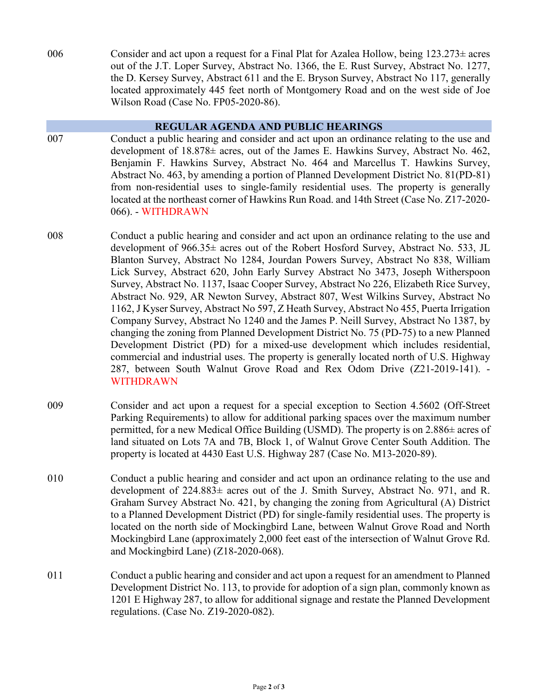006 Consider and act upon a request for a Final Plat for Azalea Hollow, being  $123.273 \pm \text{acres}$ out of the J.T. Loper Survey, Abstract No. 1366, the E. Rust Survey, Abstract No. 1277, the D. Kersey Survey, Abstract 611 and the E. Bryson Survey, Abstract No 117, generally located approximately 445 feet north of Montgomery Road and on the west side of Joe Wilson Road (Case No. FP05-2020-86).

## **REGULAR AGENDA AND PUBLIC HEARINGS**

- 007 Conduct a public hearing and consider and act upon an ordinance relating to the use and development of 18.878± acres, out of the James E. Hawkins Survey, Abstract No. 462, Benjamin F. Hawkins Survey, Abstract No. 464 and Marcellus T. Hawkins Survey, Abstract No. 463, by amending a portion of Planned Development District No. 81(PD-81) from non-residential uses to single-family residential uses. The property is generally located at the northeast corner of Hawkins Run Road. and 14th Street (Case No. Z17-2020- 066). - WITHDRAWN
- 008 Conduct a public hearing and consider and act upon an ordinance relating to the use and development of 966.35± acres out of the Robert Hosford Survey, Abstract No. 533, JL Blanton Survey, Abstract No 1284, Jourdan Powers Survey, Abstract No 838, William Lick Survey, Abstract 620, John Early Survey Abstract No 3473, Joseph Witherspoon Survey, Abstract No. 1137, Isaac Cooper Survey, Abstract No 226, Elizabeth Rice Survey, Abstract No. 929, AR Newton Survey, Abstract 807, West Wilkins Survey, Abstract No 1162, J Kyser Survey, Abstract No 597, Z Heath Survey, Abstract No 455, Puerta Irrigation Company Survey, Abstract No 1240 and the James P. Neill Survey, Abstract No 1387, by changing the zoning from Planned Development District No. 75 (PD-75) to a new Planned Development District (PD) for a mixed-use development which includes residential, commercial and industrial uses. The property is generally located north of U.S. Highway 287, between South Walnut Grove Road and Rex Odom Drive (Z21-2019-141). - WITHDRAWN
- 009 Consider and act upon a request for a special exception to Section 4.5602 (Off-Street Parking Requirements) to allow for additional parking spaces over the maximum number permitted, for a new Medical Office Building (USMD). The property is on 2.886± acres of land situated on Lots 7A and 7B, Block 1, of Walnut Grove Center South Addition. The property is located at 4430 East U.S. Highway 287 (Case No. M13-2020-89).
- 010 Conduct a public hearing and consider and act upon an ordinance relating to the use and development of  $224.883\pm$  acres out of the J. Smith Survey, Abstract No. 971, and R. Graham Survey Abstract No. 421, by changing the zoning from Agricultural (A) District to a Planned Development District (PD) for single-family residential uses. The property is located on the north side of Mockingbird Lane, between Walnut Grove Road and North Mockingbird Lane (approximately 2,000 feet east of the intersection of Walnut Grove Rd. and Mockingbird Lane) (Z18-2020-068).
- 011 Conduct a public hearing and consider and act upon a request for an amendment to Planned Development District No. 113, to provide for adoption of a sign plan, commonly known as 1201 E Highway 287, to allow for additional signage and restate the Planned Development regulations. (Case No. Z19-2020-082).